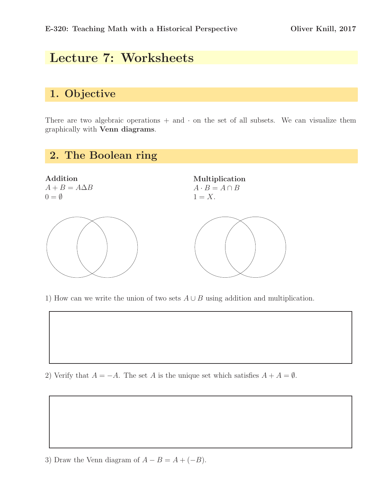## Lecture 7: Worksheets

#### 1. Objective

There are two algebraic operations  $+$  and  $\cdot$  on the set of all subsets. We can visualize them graphically with Venn diagrams.



1) How can we write the union of two sets  $A \cup B$  using addition and multiplication.

2) Verify that  $A = -A$ . The set A is the unique set which satisfies  $A + A = \emptyset$ .

3) Draw the Venn diagram of  $A - B = A + (-B)$ .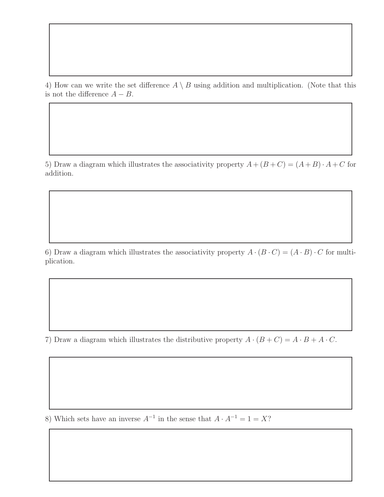4) How can we write the set difference  $A \setminus B$  using addition and multiplication. (Note that this is not the difference  $A - B$ .

5) Draw a diagram which illustrates the associativity property  $A + (B + C) = (A + B) \cdot A + C$  for addition.

6) Draw a diagram which illustrates the associativity property  $A \cdot (B \cdot C) = (A \cdot B) \cdot C$  for multiplication.

7) Draw a diagram which illustrates the distributive property  $A \cdot (B + C) = A \cdot B + A \cdot C$ .

8) Which sets have an inverse  $A^{-1}$  in the sense that  $A \cdot A^{-1} = 1 = X$ ?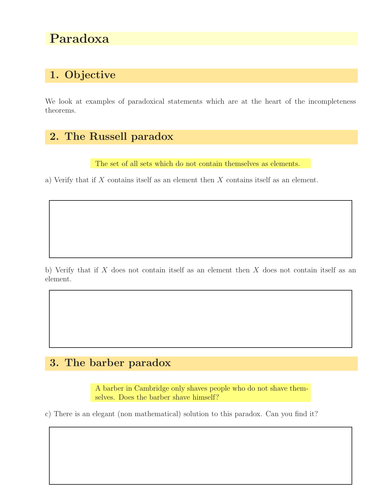# Paradoxa

### 1. Objective

We look at examples of paradoxical statements which are at the heart of the incompleteness theorems.

#### 2. The Russell paradox

The set of all sets which do not contain themselves as elements.

a) Verify that if X contains itself as an element then X contains itself as an element.

b) Verify that if  $X$  does not contain itself as an element then  $X$  does not contain itself as an element.

#### 3. The barber paradox

A barber in Cambridge only shaves people who do not shave themselves. Does the barber shave himself?

c) There is an elegant (non mathematical) solution to this paradox. Can you find it?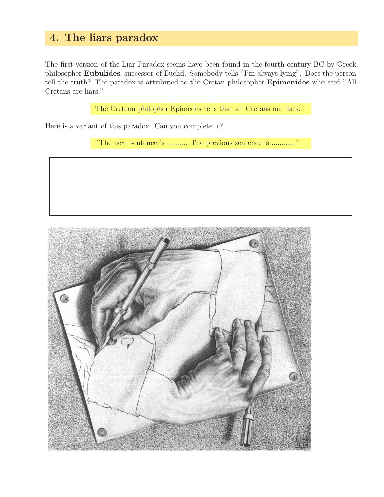#### 4. The liars paradox

The first version of the Liar Paradox seems have been found in the fourth century BC by Greek philosopher Eubulides, successor of Euclid. Somebody tells "I'm always lying". Does the person tell the truth? The paradox is attributed to the Cretan philosopher Epimenides who said "All Cretans are liars."

The Cretean philopher Epimedes tells that all Cretans are liars.

Here is a variant of this paradox. Can you complete it?

"The next sentence is .......... The previous sentence is ............"

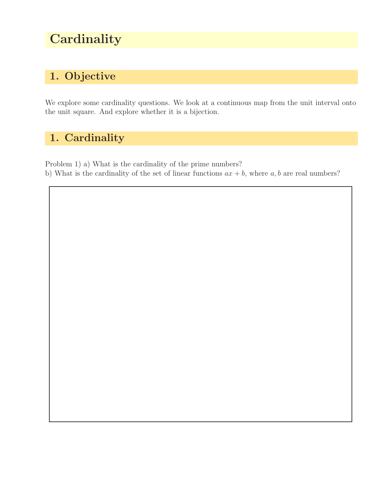# **Cardinality**

## 1. Objective

We explore some cardinality questions. We look at a continuous map from the unit interval onto the unit square. And explore whether it is a bijection.

## 1. Cardinality

Problem 1) a) What is the cardinality of the prime numbers? b) What is the cardinality of the set of linear functions  $ax + b$ , where a, b are real numbers?